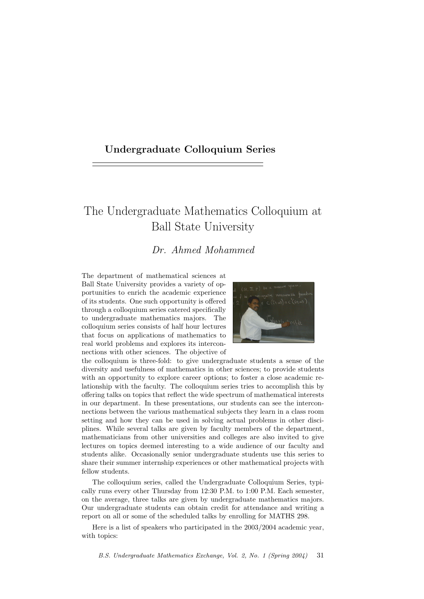### Undergraduate Colloquium Series

# The Undergraduate Mathematics Colloquium at Ball State University

## Dr. Ahmed Mohammed

The department of mathematical sciences at Ball State University provides a variety of opportunities to enrich the academic experience of its students. One such opportunity is offered through a colloquium series catered specifically to undergraduate mathematics majors. The colloquium series consists of half hour lectures that focus on applications of mathematics to real world problems and explores its interconnections with other sciences. The objective of



the colloquium is three-fold: to give undergraduate students a sense of the diversity and usefulness of mathematics in other sciences; to provide students with an opportunity to explore career options; to foster a close academic relationship with the faculty. The colloquium series tries to accomplish this by offering talks on topics that reflect the wide spectrum of mathematical interests in our department. In these presentations, our students can see the interconnections between the various mathematical subjects they learn in a class room setting and how they can be used in solving actual problems in other disciplines. While several talks are given by faculty members of the department, mathematicians from other universities and colleges are also invited to give lectures on topics deemed interesting to a wide audience of our faculty and students alike. Occasionally senior undergraduate students use this series to share their summer internship experiences or other mathematical projects with fellow students.

The colloquium series, called the Undergraduate Colloquium Series, typically runs every other Thursday from 12:30 P.M. to 1:00 P.M. Each semester, on the average, three talks are given by undergraduate mathematics majors. Our undergraduate students can obtain credit for attendance and writing a report on all or some of the scheduled talks by enrolling for MATHS 298.

Here is a list of speakers who participated in the 2003/2004 academic year, with topics: